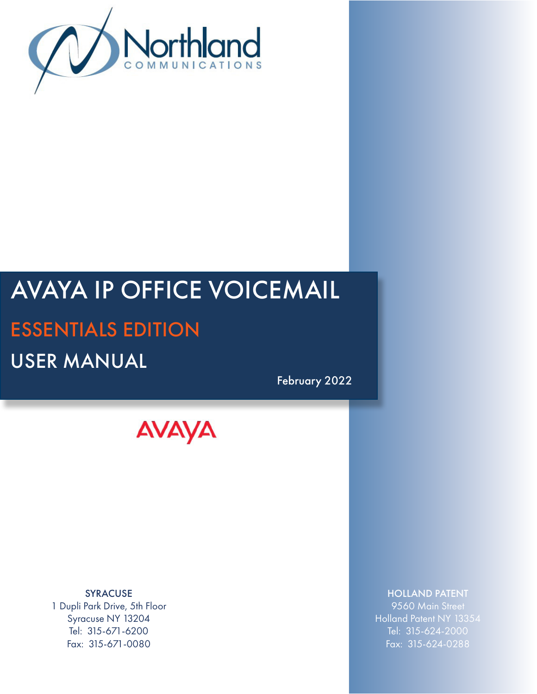

# AVAYA IP OFFICE VOICEMAIL ESSENTIALS EDITION USER MANUAL

February 2022

**AVAYA** 

SYRACUSE 1 Dupli Park Drive, 5th Floor Syracuse NY 13204 Tel: 315-671-6200 Fax: 315-671-0080

### HOLLAND PATENT

9560 Main Street Holland Patent NY 13354 Tel: 315-624-2000 Fax: 315-624-0288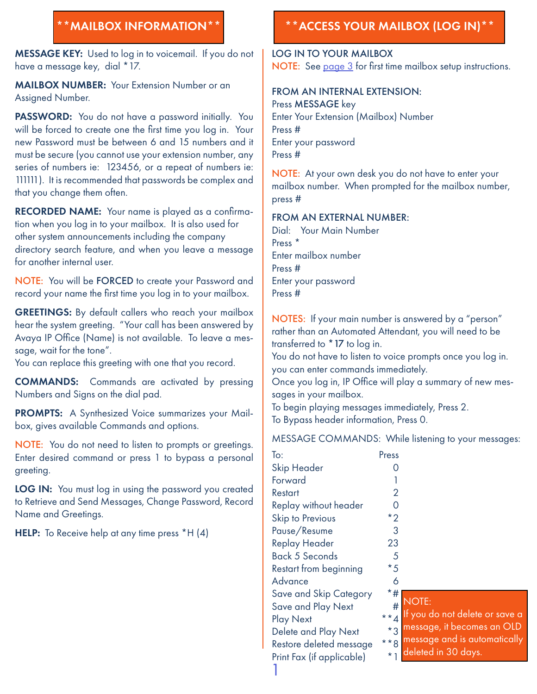MESSAGE KEY: Used to log in to voicemail. If you do not have a message key, dial \*17.

MAILBOX NUMBER: Your Extension Number or an Assigned Number.

PASSWORD: You do not have a password initially. You will be forced to create one the first time you log in. Your new Password must be between 6 and 15 numbers and it must be secure (you cannot use your extension number, any series of numbers ie: 123456, or a repeat of numbers ie: 111111). It is recommended that passwords be complex and that you change them often.

RECORDED NAME: Your name is played as a confirmation when you log in to your mailbox. It is also used for other system announcements including the company directory search feature, and when you leave a message for another internal user.

NOTE: You will be FORCED to create your Password and record your name the first time you log in to your mailbox.

GREETINGS: By default callers who reach your mailbox hear the system greeting. "Your call has been answered by Avaya IP Office (Name) is not available. To leave a message, wait for the tone".

You can replace this greeting with one that you record.

COMMANDS: Commands are activated by pressing Numbers and Signs on the dial pad.

PROMPTS: A Synthesized Voice summarizes your Mailbox, gives available Commands and options.

NOTE: You do not need to listen to prompts or greetings. Enter desired command or press 1 to bypass a personal greeting.

LOG IN: You must log in using the password you created to Retrieve and Send Messages, Change Password, Record Name and Greetings.

HELP: To Receive help at any time press \*H (4)

# \*\*MAILBOX INFORMATION\*\* \*\*ACCESS YOUR MAILBOX (LOG IN)\*\*

LOG IN TO YOUR MAILBOX NOTE: See [page 3](#page-3-0) for first time mailbox setup instructions.

#### FROM AN INTERNAL EXTENSION: Press MESSAGE key Enter Your Extension (Mailbox) Number Press #

Enter your password Press #

NOTE: At your own desk you do not have to enter your mailbox number. When prompted for the mailbox number, press #

#### FROM AN EXTERNAL NUMBER:

Dial: Your Main Number Press \* Enter mailbox number Press # Enter your password Press #

NOTES: If your main number is answered by a "person" rather than an Automated Attendant, you will need to be transferred to \*17 to log in.

You do not have to listen to voice prompts once you log in. you can enter commands immediately.

Once you log in, IP Office will play a summary of new messages in your mailbox.

To begin playing messages immediately, Press 2. To Bypass header information, Press 0.

MESSAGE COMMANDS: While listening to your messages:

| To:                       | Press          |   |
|---------------------------|----------------|---|
| <b>Skip Header</b>        |                |   |
| Forward                   | 1              |   |
| Restart                   | $\overline{2}$ |   |
| Replay without header     | 0              |   |
| <b>Skip to Previous</b>   | $*_{2}$        |   |
| Pause/Resume              | 3              |   |
| <b>Replay Header</b>      | 23             |   |
| <b>Back 5 Seconds</b>     | 5              |   |
| Restart from beginning    | $*_{5}$        |   |
| Advance                   | 6              |   |
| Save and Skip Category    | *#             |   |
| Save and Play Next        |                |   |
| <b>Play Next</b>          |                |   |
| Delete and Play Next      | $**4$ $**3$    |   |
| Restore deleted message   | $***8$         | m |
| Print Fax (if applicable) |                |   |
|                           |                |   |

 $OTE:$ 

- If you do not delete or save a
- message, it becomes an OLD
- essage and is automatically
- eleted in 30 days.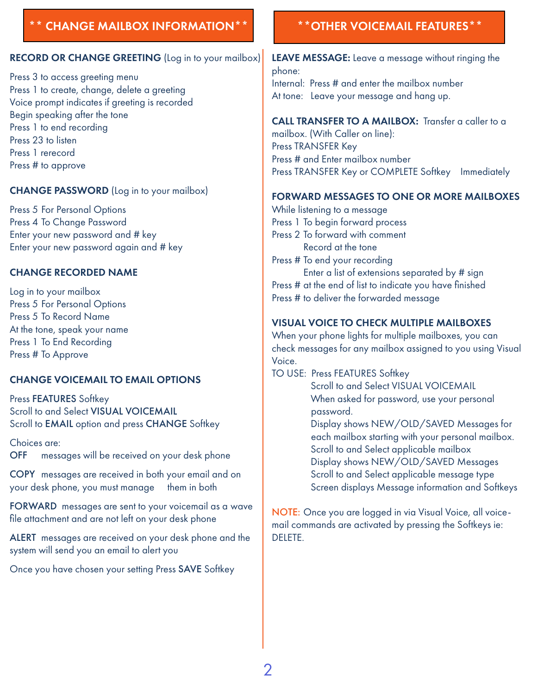## <span id="page-2-0"></span>CHANGE MAILBOX INFORMATION \*\* **And X \*** \* \* OTHER VOICEMAIL FEATURES \* \*

#### RECORD OR CHANGE GREETING (Log in to your mailbox)

Press 3 to access greeting menu Press 1 to create, change, delete a greeting Voice prompt indicates if greeting is recorded Begin speaking after the tone Press 1 to end recording Press 23 to listen Press 1 rerecord Press # to approve

#### CHANGE PASSWORD (Log in to your mailbox)

Press 5 For Personal Options Press 4 To Change Password Enter your new password and # key Enter your new password again and # key

#### CHANGE RECORDED NAME

Log in to your mailbox Press 5 For Personal Options Press 5 To Record Name At the tone, speak your name Press 1 To End Recording Press # To Approve

### CHANGE VOICEMAIL TO EMAIL OPTIONS

Press FEATURES Softkey Scroll to and Select VISUAL VOICEMAIL Scroll to EMAIL option and press CHANGE Softkey

Choices are: OFF messages will be received on your desk phone

COPY messages are received in both your email and on your desk phone, you must manage them in both

FORWARD messages are sent to your voicemail as a wave file attachment and are not left on your desk phone

ALERT messages are received on your desk phone and the system will send you an email to alert you

Once you have chosen your setting Press SAVE Softkey

LEAVE MESSAGE: Leave a message without ringing the phone: Internal: Press # and enter the mailbox number At tone: Leave your message and hang up.

#### CALL TRANSFER TO A MAILBOX: Transfer a caller to a

mailbox. (With Caller on line): Press TRANSFER Key Press # and Enter mailbox number Press TRANSFER Key or COMPLETE Softkey Immediately

#### FORWARD MESSAGES TO ONE OR MORE MAILBOXES

While listening to a message Press 1 To begin forward process Press 2 To forward with comment Record at the tone Press # To end your recording Enter a list of extensions separated by # sign Press # at the end of list to indicate you have finished Press # to deliver the forwarded message

#### VISUAL VOICE TO CHECK MULTIPLE MAILBOXES

When your phone lights for multiple mailboxes, you can check messages for any mailbox assigned to you using Visual Voice.

- TO USE: Press FEATURES Softkey Scroll to and Select VISUAL VOICEMAIL When asked for password, use your personal password. Display shows NEW/OLD/SAVED Messages for each mailbox starting with your personal mailbox. Scroll to and Select applicable mailbox Display shows NEW/OLD/SAVED Messages Scroll to and Select applicable message type
	- Screen displays Message information and Softkeys

NOTE: Once you are logged in via Visual Voice, all voicemail commands are activated by pressing the Softkeys ie: DELETE.